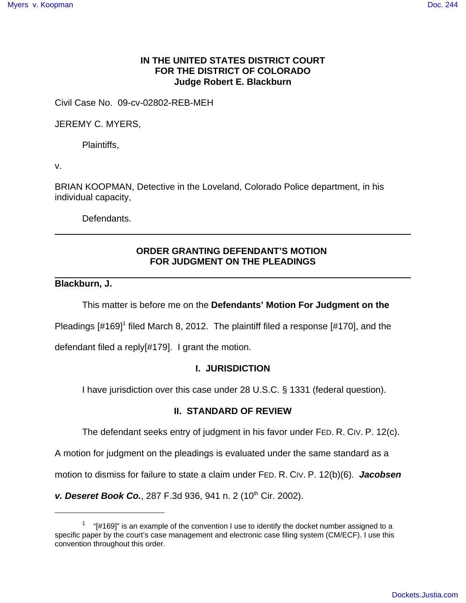## **IN THE UNITED STATES DISTRICT COURT FOR THE DISTRICT OF COLORADO Judge Robert E. Blackburn**

Civil Case No. 09-cv-02802-REB-MEH

JEREMY C. MYERS,

Plaintiffs,

v.

BRIAN KOOPMAN, Detective in the Loveland, Colorado Police department, in his individual capacity,

Defendants.

# **ORDER GRANTING DEFENDANT'S MOTION FOR JUDGMENT ON THE PLEADINGS**

#### **Blackburn, J.**

This matter is before me on the **Defendants' Motion For Judgment on the**

Pleadings [#169]<sup>1</sup> filed March 8, 2012. The plaintiff filed a response [#170], and the

defendant filed a reply[#179]. I grant the motion.

## **I. JURISDICTION**

I have jurisdiction over this case under 28 U.S.C. § 1331 (federal question).

## **II. STANDARD OF REVIEW**

The defendant seeks entry of judgment in his favor under FED. R. CIV. P. 12(c).

A motion for judgment on the pleadings is evaluated under the same standard as a

motion to dismiss for failure to state a claim under FED. R. CIV. P. 12(b)(6). **Jacobsen**

**v. Deseret Book Co.**, 287 F.3d 936, 941 n. 2 (10<sup>th</sup> Cir. 2002).

 $1$  "[#169]" is an example of the convention I use to identify the docket number assigned to a specific paper by the court's case management and electronic case filing system (CM/ECF). I use this convention throughout this order.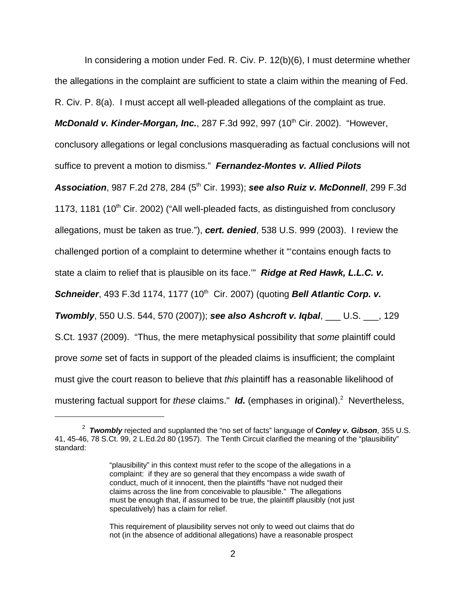In considering a motion under Fed. R. Civ. P. 12(b)(6), I must determine whether the allegations in the complaint are sufficient to state a claim within the meaning of Fed. R. Civ. P. 8(a). I must accept all well-pleaded allegations of the complaint as true.

**McDonald v. Kinder-Morgan, Inc.**, 287 F.3d 992, 997 (10<sup>th</sup> Cir. 2002). "However,

conclusory allegations or legal conclusions masquerading as factual conclusions will not

suffice to prevent a motion to dismiss." **Fernandez-Montes v. Allied Pilots**

**Association**, 987 F.2d 278, 284 (5<sup>th</sup> Cir. 1993); **see also Ruiz v. McDonnell**, 299 F.3d

1173, 1181 (10<sup>th</sup> Cir. 2002) ("All well-pleaded facts, as distinguished from conclusory

allegations, must be taken as true."), **cert. denied**, 538 U.S. 999 (2003). I review the

state a claim to relief that is plausible on its face.'" **Ridge at Red Hawk, L.L.C. v.**

challenged portion of a complaint to determine whether it "'contains enough facts to

**Schneider**, 493 F.3d 1174, 1177 (10<sup>th</sup> Cir. 2007) (quoting **Bell Atlantic Corp. v.** 

**Twombly**, 550 U.S. 544, 570 (2007)); **see also Ashcroft v. Iqbal**, \_\_\_ U.S. \_\_\_, 129 S.Ct. 1937 (2009). "Thus, the mere metaphysical possibility that some plaintiff could prove some set of facts in support of the pleaded claims is insufficient; the complaint must give the court reason to believe that this plaintiff has a reasonable likelihood of mustering factual support for these claims." Id. (emphases in original).<sup>2</sup> Nevertheless,

<sup>2</sup> **Twombly** rejected and supplanted the "no set of facts" language of **Conley v. Gibson**, 355 U.S. 41, 45-46, 78 S.Ct. 99, 2 L.Ed.2d 80 (1957). The Tenth Circuit clarified the meaning of the "plausibility" standard:

<sup>&</sup>quot;plausibility" in this context must refer to the scope of the allegations in a complaint: if they are so general that they encompass a wide swath of conduct, much of it innocent, then the plaintiffs "have not nudged their claims across the line from conceivable to plausible." The allegations must be enough that, if assumed to be true, the plaintiff plausibly (not just speculatively) has a claim for relief.

This requirement of plausibility serves not only to weed out claims that do not (in the absence of additional allegations) have a reasonable prospect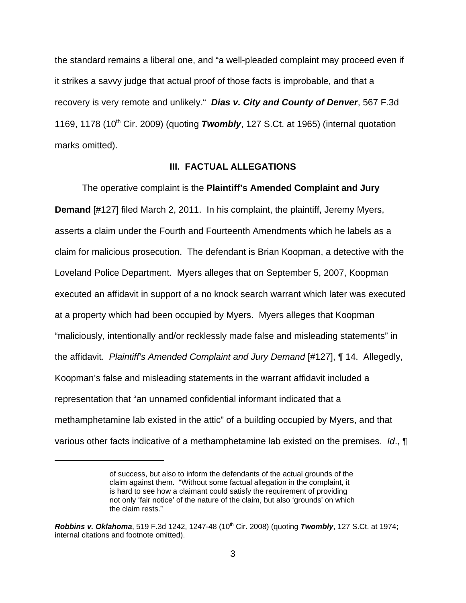the standard remains a liberal one, and "a well-pleaded complaint may proceed even if it strikes a savvy judge that actual proof of those facts is improbable, and that a recovery is very remote and unlikely." **Dias v. City and County of Denver**, 567 F.3d 1169, 1178 (10<sup>th</sup> Cir. 2009) (quoting **Twombly**, 127 S.Ct. at 1965) (internal quotation marks omitted).

#### **III. FACTUAL ALLEGATIONS**

The operative complaint is the **Plaintiff's Amended Complaint and Jury Demand** [#127] filed March 2, 2011. In his complaint, the plaintiff, Jeremy Myers, asserts a claim under the Fourth and Fourteenth Amendments which he labels as a claim for malicious prosecution. The defendant is Brian Koopman, a detective with the Loveland Police Department. Myers alleges that on September 5, 2007, Koopman executed an affidavit in support of a no knock search warrant which later was executed at a property which had been occupied by Myers. Myers alleges that Koopman "maliciously, intentionally and/or recklessly made false and misleading statements" in the affidavit. Plaintiff's Amended Complaint and Jury Demand [#127], ¶ 14. Allegedly, Koopman's false and misleading statements in the warrant affidavit included a representation that "an unnamed confidential informant indicated that a methamphetamine lab existed in the attic" of a building occupied by Myers, and that various other facts indicative of a methamphetamine lab existed on the premises. Id., ¶

of success, but also to inform the defendants of the actual grounds of the claim against them. "Without some factual allegation in the complaint, it is hard to see how a claimant could satisfy the requirement of providing not only 'fair notice' of the nature of the claim, but also 'grounds' on which the claim rests."

**Robbins v. Oklahoma**, 519 F.3d 1242, 1247-48 (10<sup>th</sup> Cir. 2008) (quoting **Twombly**, 127 S.Ct. at 1974; internal citations and footnote omitted).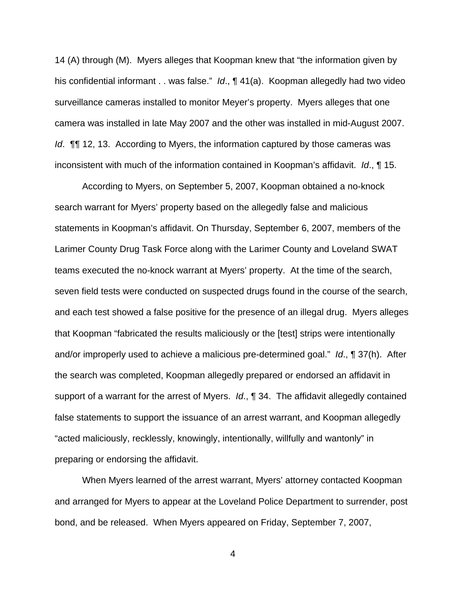14 (A) through (M). Myers alleges that Koopman knew that "the information given by his confidential informant . . was false." Id., ¶ 41(a). Koopman allegedly had two video surveillance cameras installed to monitor Meyer's property. Myers alleges that one camera was installed in late May 2007 and the other was installed in mid-August 2007. Id. ¶¶ 12, 13. According to Myers, the information captured by those cameras was inconsistent with much of the information contained in Koopman's affidavit.  $Id$ ,  $\P$  15.

According to Myers, on September 5, 2007, Koopman obtained a no-knock search warrant for Myers' property based on the allegedly false and malicious statements in Koopman's affidavit. On Thursday, September 6, 2007, members of the Larimer County Drug Task Force along with the Larimer County and Loveland SWAT teams executed the no-knock warrant at Myers' property. At the time of the search, seven field tests were conducted on suspected drugs found in the course of the search, and each test showed a false positive for the presence of an illegal drug. Myers alleges that Koopman "fabricated the results maliciously or the [test] strips were intentionally and/or improperly used to achieve a malicious pre-determined goal." Id., ¶ 37(h). After the search was completed, Koopman allegedly prepared or endorsed an affidavit in support of a warrant for the arrest of Myers.  $Id$ ,  $\P$  34. The affidavit allegedly contained false statements to support the issuance of an arrest warrant, and Koopman allegedly "acted maliciously, recklessly, knowingly, intentionally, willfully and wantonly" in preparing or endorsing the affidavit.

When Myers learned of the arrest warrant, Myers' attorney contacted Koopman and arranged for Myers to appear at the Loveland Police Department to surrender, post bond, and be released. When Myers appeared on Friday, September 7, 2007,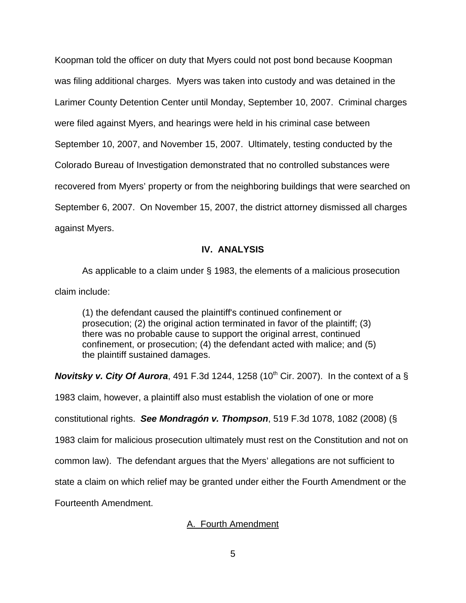Koopman told the officer on duty that Myers could not post bond because Koopman was filing additional charges. Myers was taken into custody and was detained in the Larimer County Detention Center until Monday, September 10, 2007. Criminal charges were filed against Myers, and hearings were held in his criminal case between September 10, 2007, and November 15, 2007. Ultimately, testing conducted by the Colorado Bureau of Investigation demonstrated that no controlled substances were recovered from Myers' property or from the neighboring buildings that were searched on September 6, 2007. On November 15, 2007, the district attorney dismissed all charges against Myers.

## **IV. ANALYSIS**

As applicable to a claim under § 1983, the elements of a malicious prosecution claim include:

(1) the defendant caused the plaintiff's continued confinement or prosecution; (2) the original action terminated in favor of the plaintiff; (3) there was no probable cause to support the original arrest, continued confinement, or prosecution; (4) the defendant acted with malice; and (5) the plaintiff sustained damages.

**Novitsky v. City Of Aurora**, 491 F.3d 1244, 1258 (10<sup>th</sup> Cir. 2007). In the context of a  $\S$ 

1983 claim, however, a plaintiff also must establish the violation of one or more

constitutional rights. **See Mondragón v. Thompson**, 519 F.3d 1078, 1082 (2008) (§

1983 claim for malicious prosecution ultimately must rest on the Constitution and not on

common law). The defendant argues that the Myers' allegations are not sufficient to

state a claim on which relief may be granted under either the Fourth Amendment or the

Fourteenth Amendment.

# A. Fourth Amendment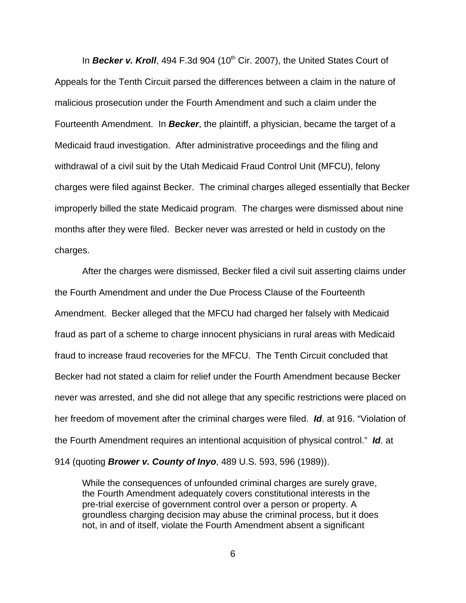In **Becker v. Kroll**, 494 F.3d 904 (10<sup>th</sup> Cir. 2007), the United States Court of Appeals for the Tenth Circuit parsed the differences between a claim in the nature of malicious prosecution under the Fourth Amendment and such a claim under the Fourteenth Amendment. In **Becker**, the plaintiff, a physician, became the target of a Medicaid fraud investigation. After administrative proceedings and the filing and withdrawal of a civil suit by the Utah Medicaid Fraud Control Unit (MFCU), felony charges were filed against Becker. The criminal charges alleged essentially that Becker improperly billed the state Medicaid program. The charges were dismissed about nine months after they were filed. Becker never was arrested or held in custody on the charges.

After the charges were dismissed, Becker filed a civil suit asserting claims under the Fourth Amendment and under the Due Process Clause of the Fourteenth Amendment. Becker alleged that the MFCU had charged her falsely with Medicaid fraud as part of a scheme to charge innocent physicians in rural areas with Medicaid fraud to increase fraud recoveries for the MFCU. The Tenth Circuit concluded that Becker had not stated a claim for relief under the Fourth Amendment because Becker never was arrested, and she did not allege that any specific restrictions were placed on her freedom of movement after the criminal charges were filed. **Id**. at 916. "Violation of the Fourth Amendment requires an intentional acquisition of physical control." **Id**. at 914 (quoting **Brower v. County of Inyo**, 489 U.S. 593, 596 (1989)).

While the consequences of unfounded criminal charges are surely grave, the Fourth Amendment adequately covers constitutional interests in the pre-trial exercise of government control over a person or property. A groundless charging decision may abuse the criminal process, but it does not, in and of itself, violate the Fourth Amendment absent a significant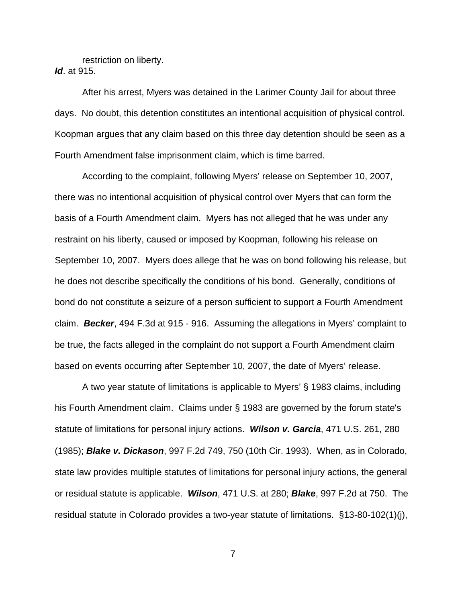restriction on liberty. **Id**. at 915.

After his arrest, Myers was detained in the Larimer County Jail for about three days. No doubt, this detention constitutes an intentional acquisition of physical control. Koopman argues that any claim based on this three day detention should be seen as a Fourth Amendment false imprisonment claim, which is time barred.

According to the complaint, following Myers' release on September 10, 2007, there was no intentional acquisition of physical control over Myers that can form the basis of a Fourth Amendment claim. Myers has not alleged that he was under any restraint on his liberty, caused or imposed by Koopman, following his release on September 10, 2007. Myers does allege that he was on bond following his release, but he does not describe specifically the conditions of his bond. Generally, conditions of bond do not constitute a seizure of a person sufficient to support a Fourth Amendment claim. **Becker**, 494 F.3d at 915 - 916. Assuming the allegations in Myers' complaint to be true, the facts alleged in the complaint do not support a Fourth Amendment claim based on events occurring after September 10, 2007, the date of Myers' release.

A two year statute of limitations is applicable to Myers' § 1983 claims, including his Fourth Amendment claim. Claims under § 1983 are governed by the forum state's statute of limitations for personal injury actions. **Wilson v. Garcia**, 471 U.S. 261, 280 (1985); **Blake v. Dickason**, 997 F.2d 749, 750 (10th Cir. 1993). When, as in Colorado, state law provides multiple statutes of limitations for personal injury actions, the general or residual statute is applicable. **Wilson**, 471 U.S. at 280; **Blake**, 997 F.2d at 750. The residual statute in Colorado provides a two-year statute of limitations. §13-80-102(1)(j),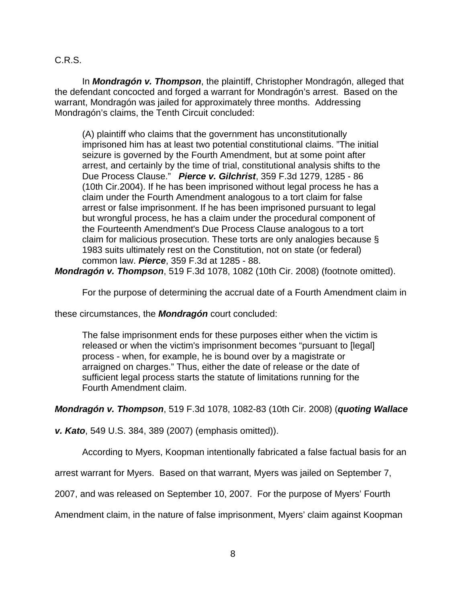## C.R.S.

In **Mondragón v. Thompson**, the plaintiff, Christopher Mondragón, alleged that the defendant concocted and forged a warrant for Mondragón's arrest. Based on the warrant, Mondragón was jailed for approximately three months. Addressing Mondragón's claims, the Tenth Circuit concluded:

(A) plaintiff who claims that the government has unconstitutionally imprisoned him has at least two potential constitutional claims. "The initial seizure is governed by the Fourth Amendment, but at some point after arrest, and certainly by the time of trial, constitutional analysis shifts to the Due Process Clause." **Pierce v. Gilchrist**, 359 F.3d 1279, 1285 - 86 (10th Cir.2004). If he has been imprisoned without legal process he has a claim under the Fourth Amendment analogous to a tort claim for false arrest or false imprisonment. If he has been imprisoned pursuant to legal but wrongful process, he has a claim under the procedural component of the Fourteenth Amendment's Due Process Clause analogous to a tort claim for malicious prosecution. These torts are only analogies because § 1983 suits ultimately rest on the Constitution, not on state (or federal) common law. **Pierce**, 359 F.3d at 1285 - 88.

**Mondragón v. Thompson**, 519 F.3d 1078, 1082 (10th Cir. 2008) (footnote omitted).

For the purpose of determining the accrual date of a Fourth Amendment claim in

these circumstances, the **Mondragón** court concluded:

The false imprisonment ends for these purposes either when the victim is released or when the victim's imprisonment becomes "pursuant to [legal] process - when, for example, he is bound over by a magistrate or arraigned on charges." Thus, either the date of release or the date of sufficient legal process starts the statute of limitations running for the Fourth Amendment claim.

**Mondragón v. Thompson**, 519 F.3d 1078, 1082-83 (10th Cir. 2008) (**quoting Wallace**

**v. Kato**, 549 U.S. 384, 389 (2007) (emphasis omitted)).

According to Myers, Koopman intentionally fabricated a false factual basis for an

arrest warrant for Myers. Based on that warrant, Myers was jailed on September 7,

2007, and was released on September 10, 2007. For the purpose of Myers' Fourth

Amendment claim, in the nature of false imprisonment, Myers' claim against Koopman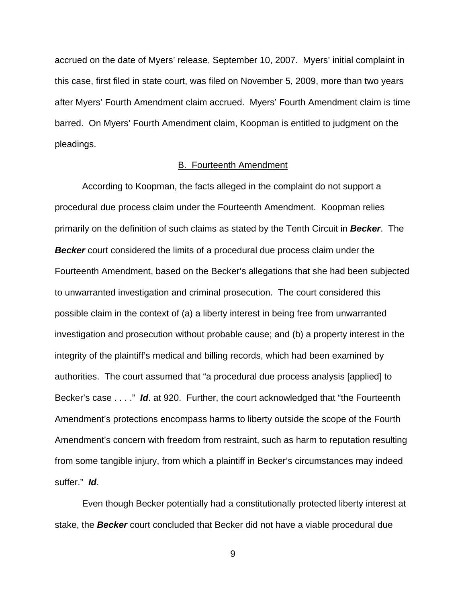accrued on the date of Myers' release, September 10, 2007. Myers' initial complaint in this case, first filed in state court, was filed on November 5, 2009, more than two years after Myers' Fourth Amendment claim accrued. Myers' Fourth Amendment claim is time barred. On Myers' Fourth Amendment claim, Koopman is entitled to judgment on the pleadings.

#### B. Fourteenth Amendment

According to Koopman, the facts alleged in the complaint do not support a procedural due process claim under the Fourteenth Amendment. Koopman relies primarily on the definition of such claims as stated by the Tenth Circuit in **Becker**. The **Becker** court considered the limits of a procedural due process claim under the Fourteenth Amendment, based on the Becker's allegations that she had been subjected to unwarranted investigation and criminal prosecution. The court considered this possible claim in the context of (a) a liberty interest in being free from unwarranted investigation and prosecution without probable cause; and (b) a property interest in the integrity of the plaintiff's medical and billing records, which had been examined by authorities. The court assumed that "a procedural due process analysis [applied] to Becker's case . . . ." **Id**. at 920. Further, the court acknowledged that "the Fourteenth Amendment's protections encompass harms to liberty outside the scope of the Fourth Amendment's concern with freedom from restraint, such as harm to reputation resulting from some tangible injury, from which a plaintiff in Becker's circumstances may indeed suffer." **Id**.

Even though Becker potentially had a constitutionally protected liberty interest at stake, the **Becker** court concluded that Becker did not have a viable procedural due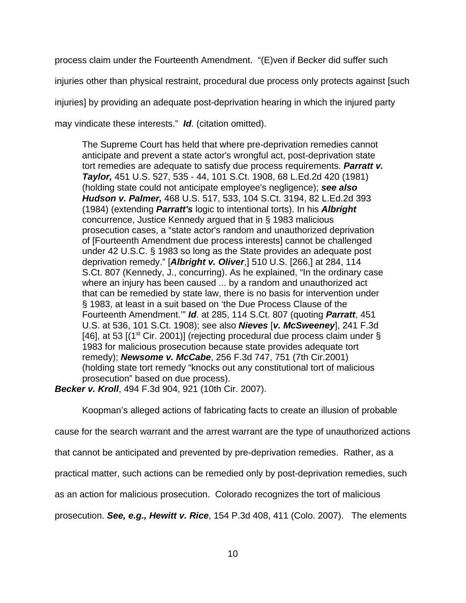process claim under the Fourteenth Amendment. "(E)ven if Becker did suffer such injuries other than physical restraint, procedural due process only protects against [such injuries] by providing an adequate post-deprivation hearing in which the injured party may vindicate these interests." **Id**. (citation omitted).

The Supreme Court has held that where pre-deprivation remedies cannot anticipate and prevent a state actor's wrongful act, post-deprivation state tort remedies are adequate to satisfy due process requirements. **Parratt v. Taylor,** 451 U.S. 527, 535 - 44, 101 S.Ct. 1908, 68 L.Ed.2d 420 (1981) (holding state could not anticipate employee's negligence); **see also Hudson v. Palmer,** 468 U.S. 517, 533, 104 S.Ct. 3194, 82 L.Ed.2d 393 (1984) (extending **Parratt's** logic to intentional torts). In his **Albright** concurrence, Justice Kennedy argued that in § 1983 malicious prosecution cases, a "state actor's random and unauthorized deprivation of [Fourteenth Amendment due process interests] cannot be challenged under 42 U.S.C. § 1983 so long as the State provides an adequate post deprivation remedy." [**Albright v. Oliver**,] 510 U.S. [266,] at 284, 114 S.Ct. 807 (Kennedy, J., concurring). As he explained, "In the ordinary case where an injury has been caused ... by a random and unauthorized act that can be remedied by state law, there is no basis for intervention under § 1983, at least in a suit based on 'the Due Process Clause of the Fourteenth Amendment.'" **Id**. at 285, 114 S.Ct. 807 (quoting **Parratt**, 451 U.S. at 536, 101 S.Ct. 1908); see also **Nieves** [**v. McSweeney**], 241 F.3d [46], at 53  $[(1<sup>st</sup> Cir. 2001)]$  (rejecting procedural due process claim under § 1983 for malicious prosecution because state provides adequate tort remedy); **Newsome v. McCabe**, 256 F.3d 747, 751 (7th Cir.2001) (holding state tort remedy "knocks out any constitutional tort of malicious prosecution" based on due process).

**Becker v. Kroll**, 494 F.3d 904, 921 (10th Cir. 2007).

Koopman's alleged actions of fabricating facts to create an illusion of probable

cause for the search warrant and the arrest warrant are the type of unauthorized actions

that cannot be anticipated and prevented by pre-deprivation remedies. Rather, as a

practical matter, such actions can be remedied only by post-deprivation remedies, such

as an action for malicious prosecution. Colorado recognizes the tort of malicious

prosecution. **See, e.g., Hewitt v. Rice**, 154 P.3d 408, 411 (Colo. 2007). The elements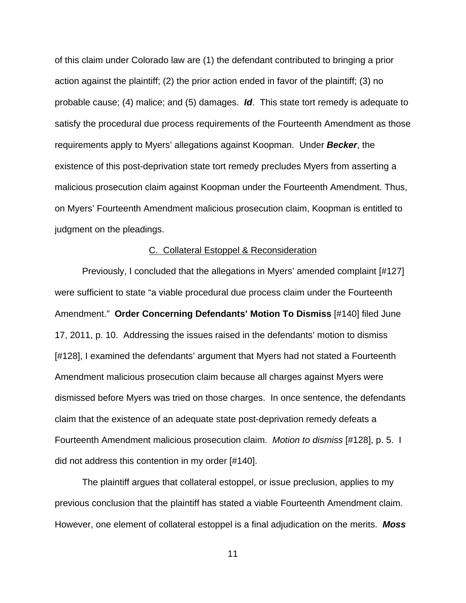of this claim under Colorado law are (1) the defendant contributed to bringing a prior action against the plaintiff; (2) the prior action ended in favor of the plaintiff; (3) no probable cause; (4) malice; and (5) damages. **Id**. This state tort remedy is adequate to satisfy the procedural due process requirements of the Fourteenth Amendment as those requirements apply to Myers' allegations against Koopman. Under **Becker**, the existence of this post-deprivation state tort remedy precludes Myers from asserting a malicious prosecution claim against Koopman under the Fourteenth Amendment. Thus, on Myers' Fourteenth Amendment malicious prosecution claim, Koopman is entitled to judgment on the pleadings.

#### C. Collateral Estoppel & Reconsideration

Previously, I concluded that the allegations in Myers' amended complaint [#127] were sufficient to state "a viable procedural due process claim under the Fourteenth Amendment." **Order Concerning Defendants' Motion To Dismiss** [#140] filed June 17, 2011, p. 10. Addressing the issues raised in the defendants' motion to dismiss [#128], I examined the defendants' argument that Myers had not stated a Fourteenth Amendment malicious prosecution claim because all charges against Myers were dismissed before Myers was tried on those charges. In once sentence, the defendants claim that the existence of an adequate state post-deprivation remedy defeats a Fourteenth Amendment malicious prosecution claim. Motion to dismiss [#128], p. 5. I did not address this contention in my order [#140].

The plaintiff argues that collateral estoppel, or issue preclusion, applies to my previous conclusion that the plaintiff has stated a viable Fourteenth Amendment claim. However, one element of collateral estoppel is a final adjudication on the merits. **Moss**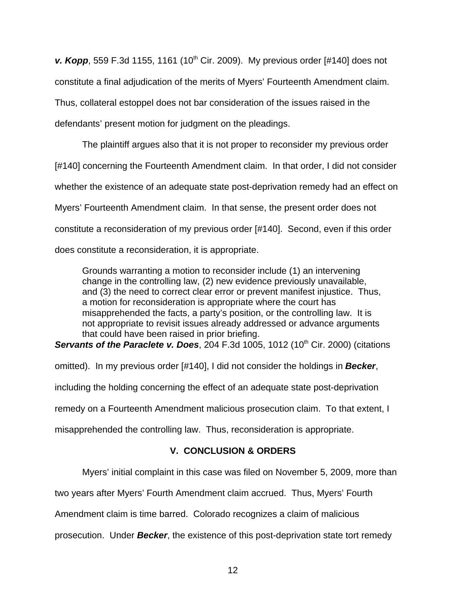**v. Kopp**, 559 F.3d 1155, 1161 (10<sup>th</sup> Cir. 2009). My previous order [#140] does not constitute a final adjudication of the merits of Myers' Fourteenth Amendment claim. Thus, collateral estoppel does not bar consideration of the issues raised in the defendants' present motion for judgment on the pleadings.

The plaintiff argues also that it is not proper to reconsider my previous order [#140] concerning the Fourteenth Amendment claim. In that order, I did not consider whether the existence of an adequate state post-deprivation remedy had an effect on Myers' Fourteenth Amendment claim. In that sense, the present order does not constitute a reconsideration of my previous order [#140]. Second, even if this order does constitute a reconsideration, it is appropriate.

Grounds warranting a motion to reconsider include (1) an intervening change in the controlling law, (2) new evidence previously unavailable, and (3) the need to correct clear error or prevent manifest injustice. Thus, a motion for reconsideration is appropriate where the court has misapprehended the facts, a party's position, or the controlling law. It is not appropriate to revisit issues already addressed or advance arguments that could have been raised in prior briefing.

**Servants of the Paraclete v. Does, 204 F.3d 1005, 1012 (10<sup>th</sup> Cir. 2000) (citations** 

omitted). In my previous order [#140], I did not consider the holdings in **Becker**,

including the holding concerning the effect of an adequate state post-deprivation

remedy on a Fourteenth Amendment malicious prosecution claim. To that extent, I

misapprehended the controlling law. Thus, reconsideration is appropriate.

# **V. CONCLUSION & ORDERS**

Myers' initial complaint in this case was filed on November 5, 2009, more than

two years after Myers' Fourth Amendment claim accrued. Thus, Myers' Fourth

Amendment claim is time barred. Colorado recognizes a claim of malicious

prosecution. Under **Becker**, the existence of this post-deprivation state tort remedy